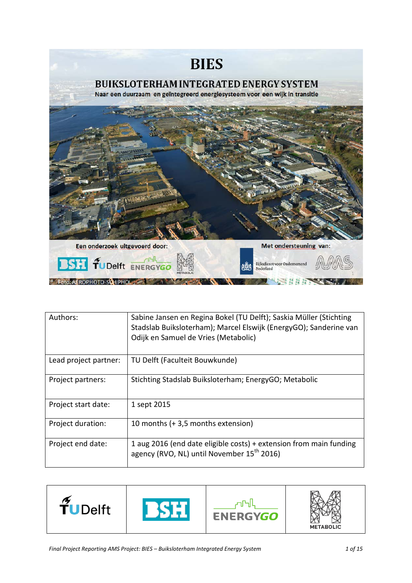

| Authors:              | Sabine Jansen en Regina Bokel (TU Delft); Saskia Müller (Stichting<br>Stadslab Buiksloterham); Marcel Elswijk (EnergyGO); Sanderine van<br>Odijk en Samuel de Vries (Metabolic) |  |
|-----------------------|---------------------------------------------------------------------------------------------------------------------------------------------------------------------------------|--|
| Lead project partner: | TU Delft (Faculteit Bouwkunde)                                                                                                                                                  |  |
| Project partners:     | Stichting Stadslab Buiksloterham; EnergyGO; Metabolic                                                                                                                           |  |
| Project start date:   | 1 sept 2015                                                                                                                                                                     |  |
| Project duration:     | 10 months (+ 3,5 months extension)                                                                                                                                              |  |
| Project end date:     | 1 aug 2016 (end date eligible costs) + extension from main funding<br>agency (RVO, NL) until November 15 <sup>th</sup> 2016)                                                    |  |

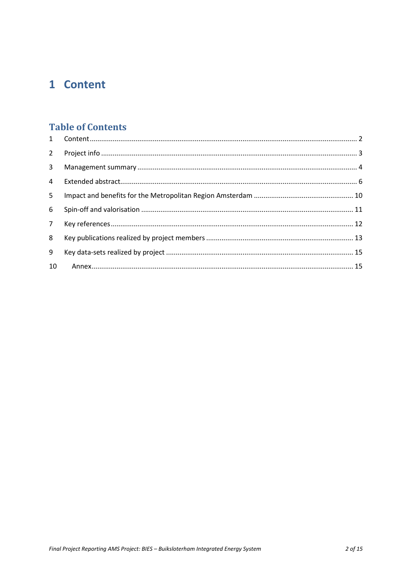# <span id="page-1-0"></span>1 Content

### **Table of Contents**

| $2^{\circ}$    |  |
|----------------|--|
| 3              |  |
| $\overline{4}$ |  |
| 5              |  |
| 6              |  |
| 7 <sup>7</sup> |  |
| 8              |  |
| 9              |  |
| 10             |  |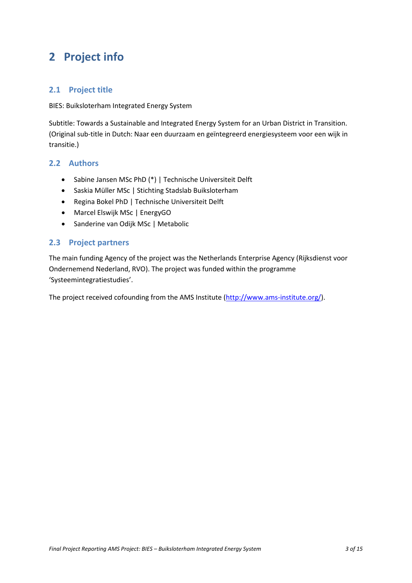# <span id="page-2-0"></span>**2 Project info**

### **2.1 Project title**

BIES: Buiksloterham Integrated Energy System

Subtitle: Towards a Sustainable and Integrated Energy System for an Urban District in Transition. (Original sub-title in Dutch: Naar een duurzaam en geïntegreerd energiesysteem voor een wijk in transitie.)

### **2.2 Authors**

- Sabine Jansen MSc PhD (\*) | Technische Universiteit Delft
- Saskia Müller MSc | Stichting Stadslab Buiksloterham
- Regina Bokel PhD | Technische Universiteit Delft
- Marcel Elswijk MSc | EnergyGO
- Sanderine van Odijk MSc | Metabolic

### **2.3 Project partners**

The main funding Agency of the project was the Netherlands Enterprise Agency (Rijksdienst voor Ondernemend Nederland, RVO). The project was funded within the programme 'Systeemintegratiestudies'.

The project received cofounding from the AMS Institute [\(http://www.ams-institute.org/\)](http://www.ams-institute.org/).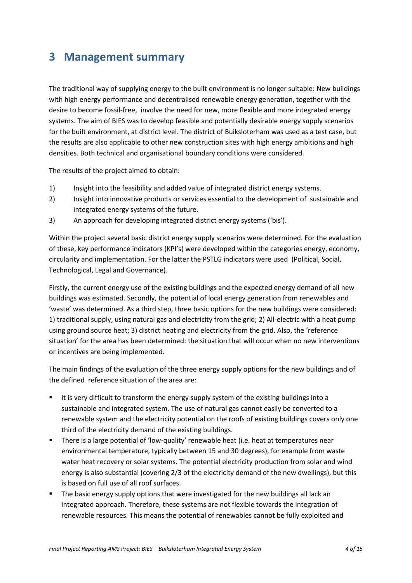## <span id="page-3-0"></span>**3 Management summary**

The traditional way of supplying energy to the built environment is no longer suitable: New buildings with high energy performance and decentralised renewable energy generation, together with the desire to become fossil-free, involve the need for new, more flexible and more integrated energy systems. The aim of BIES was to develop feasible and potentially desirable energy supply scenarios for the built environment, at district level. The district of Buiksloterham was used as a test case, but the results are also applicable to other new construction sites with high energy ambitions and high densities. Both technical and organisational boundary conditions were considered.

The results of the project aimed to obtain:

- 1) Insight into the feasibility and added value of integrated district energy systems.
- 2) Insight into innovative products or services essential to the development of sustainable and integrated energy systems of the future.
- 3) An approach for developing integrated district energy systems ('bis').

Within the project several basic district energy supply scenarios were determined. For the evaluation of these, key performance indicators (KPI's) were developed within the categories energy, economy, circularity and implementation. For the latter the PSTLG indicators were used (Political, Social, Technological, Legal and Governance).

Firstly, the current energy use of the existing buildings and the expected energy demand of all new buildings was estimated. Secondly, the potential of local energy generation from renewables and 'waste' was determined. As a third step, three basic options for the new buildings were considered: 1) traditional supply, using natural gas and electricity from the grid; 2) All-electric with a heat pump using ground source heat; 3) district heating and electricity from the grid. Also, the 'reference situation' for the area has been determined: the situation that will occur when no new interventions or incentives are being implemented.

The main findings of the evaluation of the three energy supply options for the new buildings and of the defined reference situation of the area are:

- It is very difficult to transform the energy supply system of the existing buildings into a sustainable and integrated system. The use of natural gas cannot easily be converted to a renewable system and the electricity potential on the roofs of existing buildings covers only one third of the electricity demand of the existing buildings.
- There is a large potential of 'low-quality' renewable heat (i.e. heat at temperatures near environmental temperature, typically between 15 and 30 degrees), for example from waste water heat recovery or solar systems. The potential electricity production from solar and wind energy is also substantial (covering 2/3 of the electricity demand of the new dwellings), but this is based on full use of all roof surfaces.
- **The basic energy supply options that were investigated for the new buildings all lack an** integrated approach. Therefore, these systems are not flexible towards the integration of renewable resources. This means the potential of renewables cannot be fully exploited and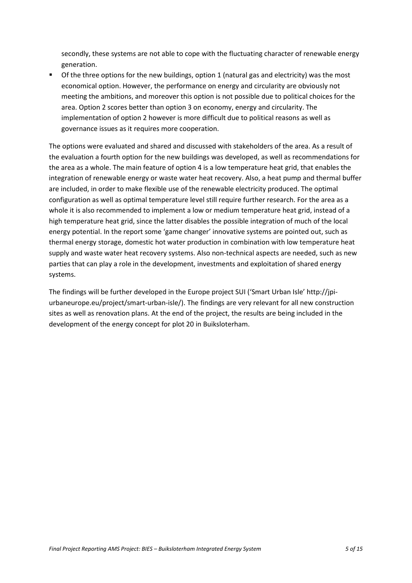secondly, these systems are not able to cope with the fluctuating character of renewable energy generation.

 Of the three options for the new buildings, option 1 (natural gas and electricity) was the most economical option. However, the performance on energy and circularity are obviously not meeting the ambitions, and moreover this option is not possible due to political choices for the area. Option 2 scores better than option 3 on economy, energy and circularity. The implementation of option 2 however is more difficult due to political reasons as well as governance issues as it requires more cooperation.

The options were evaluated and shared and discussed with stakeholders of the area. As a result of the evaluation a fourth option for the new buildings was developed, as well as recommendations for the area as a whole. The main feature of option 4 is a low temperature heat grid, that enables the integration of renewable energy or waste water heat recovery. Also, a heat pump and thermal buffer are included, in order to make flexible use of the renewable electricity produced. The optimal configuration as well as optimal temperature level still require further research. For the area as a whole it is also recommended to implement a low or medium temperature heat grid, instead of a high temperature heat grid, since the latter disables the possible integration of much of the local energy potential. In the report some 'game changer' innovative systems are pointed out, such as thermal energy storage, domestic hot water production in combination with low temperature heat supply and waste water heat recovery systems. Also non-technical aspects are needed, such as new parties that can play a role in the development, investments and exploitation of shared energy systems.

The findings will be further developed in the Europe project SUI ('Smart Urban Isle' http://jpiurbaneurope.eu/project/smart-urban-isle/). The findings are very relevant for all new construction sites as well as renovation plans. At the end of the project, the results are being included in the development of the energy concept for plot 20 in Buiksloterham.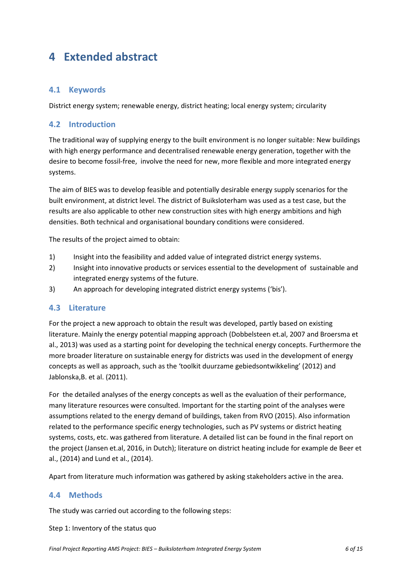# <span id="page-5-0"></span>**4 Extended abstract**

### **4.1 Keywords**

District energy system; renewable energy, district heating; local energy system; circularity

#### **4.2 Introduction**

The traditional way of supplying energy to the built environment is no longer suitable: New buildings with high energy performance and decentralised renewable energy generation, together with the desire to become fossil-free, involve the need for new, more flexible and more integrated energy systems.

The aim of BIES was to develop feasible and potentially desirable energy supply scenarios for the built environment, at district level. The district of Buiksloterham was used as a test case, but the results are also applicable to other new construction sites with high energy ambitions and high densities. Both technical and organisational boundary conditions were considered.

The results of the project aimed to obtain:

- 1) Insight into the feasibility and added value of integrated district energy systems.
- 2) Insight into innovative products or services essential to the development of sustainable and integrated energy systems of the future.
- 3) An approach for developing integrated district energy systems ('bis').

#### **4.3 Literature**

For the project a new approach to obtain the result was developed, partly based on existing literature. Mainly the energy potential mapping approach (Dobbelsteen et.al, 2007 and Broersma et al., 2013) was used as a starting point for developing the technical energy concepts. Furthermore the more broader literature on sustainable energy for districts was used in the development of energy concepts as well as approach, such as the 'toolkit duurzame gebiedsontwikkeling' (2012) and Jablonska,B. et al. (2011).

For the detailed analyses of the energy concepts as well as the evaluation of their performance, many literature resources were consulted. Important for the starting point of the analyses were assumptions related to the energy demand of buildings, taken from RVO (2015). Also information related to the performance specific energy technologies, such as PV systems or district heating systems, costs, etc. was gathered from literature. A detailed list can be found in the final report on the project (Jansen et.al, 2016, in Dutch); literature on district heating include for example de Beer et al., (2014) and Lund et al., (2014).

Apart from literature much information was gathered by asking stakeholders active in the area.

#### **4.4 Methods**

The study was carried out according to the following steps:

#### Step 1: Inventory of the status quo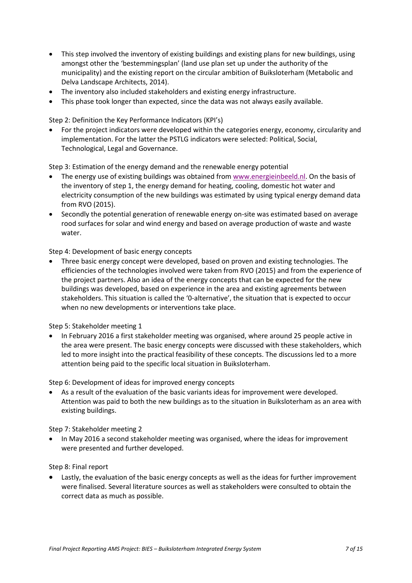- This step involved the inventory of existing buildings and existing plans for new buildings, using amongst other the 'bestemmingsplan' (land use plan set up under the authority of the municipality) and the existing report on the circular ambition of Buiksloterham (Metabolic and Delva Landscape Architects, 2014).
- The inventory also included stakeholders and existing energy infrastructure.
- This phase took longer than expected, since the data was not always easily available.

Step 2: Definition the Key Performance Indicators (KPI's)

• For the project indicators were developed within the categories energy, economy, circularity and implementation. For the latter the PSTLG indicators were selected: Political, Social, Technological, Legal and Governance.

Step 3: Estimation of the energy demand and the renewable energy potential

- The energy use of existing buildings was obtained from [www.energieinbeeld.nl.](http://www.energieinbeeld.nl/) On the basis of the inventory of step 1, the energy demand for heating, cooling, domestic hot water and electricity consumption of the new buildings was estimated by using typical energy demand data from RVO (2015).
- Secondly the potential generation of renewable energy on-site was estimated based on average rood surfaces for solar and wind energy and based on average production of waste and waste water.

Step 4: Development of basic energy concepts

• Three basic energy concept were developed, based on proven and existing technologies. The efficiencies of the technologies involved were taken from RVO (2015) and from the experience of the project partners. Also an idea of the energy concepts that can be expected for the new buildings was developed, based on experience in the area and existing agreements between stakeholders. This situation is called the '0-alternative', the situation that is expected to occur when no new developments or interventions take place.

Step 5: Stakeholder meeting 1

• In February 2016 a first stakeholder meeting was organised, where around 25 people active in the area were present. The basic energy concepts were discussed with these stakeholders, which led to more insight into the practical feasibility of these concepts. The discussions led to a more attention being paid to the specific local situation in Buiksloterham.

Step 6: Development of ideas for improved energy concepts

• As a result of the evaluation of the basic variants ideas for improvement were developed. Attention was paid to both the new buildings as to the situation in Buiksloterham as an area with existing buildings.

Step 7: Stakeholder meeting 2

• In May 2016 a second stakeholder meeting was organised, where the ideas for improvement were presented and further developed.

Step 8: Final report

Lastly, the evaluation of the basic energy concepts as well as the ideas for further improvement were finalised. Several literature sources as well as stakeholders were consulted to obtain the correct data as much as possible.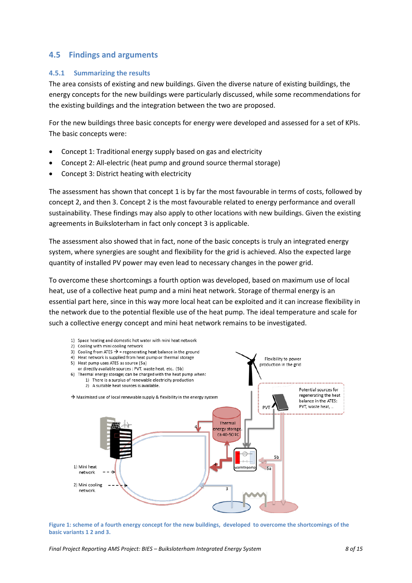### **4.5 Findings and arguments**

#### **4.5.1 Summarizing the results**

The area consists of existing and new buildings. Given the diverse nature of existing buildings, the energy concepts for the new buildings were particularly discussed, while some recommendations for the existing buildings and the integration between the two are proposed.

For the new buildings three basic concepts for energy were developed and assessed for a set of KPIs. The basic concepts were:

- Concept 1: Traditional energy supply based on gas and electricity
- Concept 2: All-electric (heat pump and ground source thermal storage)
- Concept 3: District heating with electricity

The assessment has shown that concept 1 is by far the most favourable in terms of costs, followed by concept 2, and then 3. Concept 2 is the most favourable related to energy performance and overall sustainability. These findings may also apply to other locations with new buildings. Given the existing agreements in Buiksloterham in fact only concept 3 is applicable.

The assessment also showed that in fact, none of the basic concepts is truly an integrated energy system, where synergies are sought and flexibility for the grid is achieved. Also the expected large quantity of installed PV power may even lead to necessary changes in the power grid.

To overcome these shortcomings a fourth option was developed, based on maximum use of local heat, use of a collective heat pump and a mini heat network. Storage of thermal energy is an essential part here, since in this way more local heat can be exploited and it can increase flexibility in the network due to the potential flexible use of the heat pump. The ideal temperature and scale for such a collective energy concept and mini heat network remains to be investigated.



**Figure 1: scheme of a fourth energy concept for the new buildings, developed to overcome the shortcomings of the basic variants 1 2 and 3.**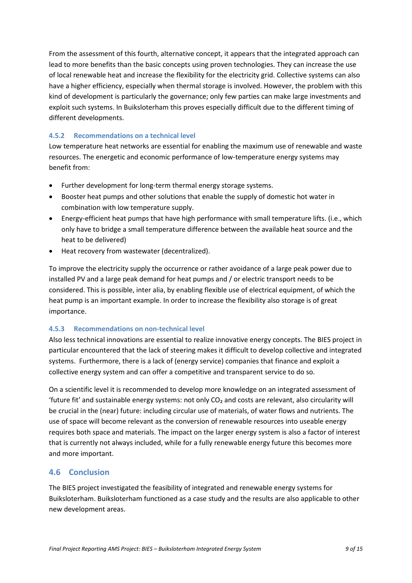From the assessment of this fourth, alternative concept, it appears that the integrated approach can lead to more benefits than the basic concepts using proven technologies. They can increase the use of local renewable heat and increase the flexibility for the electricity grid. Collective systems can also have a higher efficiency, especially when thermal storage is involved. However, the problem with this kind of development is particularly the governance; only few parties can make large investments and exploit such systems. In Buiksloterham this proves especially difficult due to the different timing of different developments.

#### **4.5.2 Recommendations on a technical level**

Low temperature heat networks are essential for enabling the maximum use of renewable and waste resources. The energetic and economic performance of low-temperature energy systems may benefit from:

- Further development for long-term thermal energy storage systems.
- Booster heat pumps and other solutions that enable the supply of domestic hot water in combination with low temperature supply.
- Energy-efficient heat pumps that have high performance with small temperature lifts. (i.e., which only have to bridge a small temperature difference between the available heat source and the heat to be delivered)
- Heat recovery from wastewater (decentralized).

To improve the electricity supply the occurrence or rather avoidance of a large peak power due to installed PV and a large peak demand for heat pumps and / or electric transport needs to be considered. This is possible, inter alia, by enabling flexible use of electrical equipment, of which the heat pump is an important example. In order to increase the flexibility also storage is of great importance.

#### **4.5.3 Recommendations on non-technical level**

Also less technical innovations are essential to realize innovative energy concepts. The BIES project in particular encountered that the lack of steering makes it difficult to develop collective and integrated systems. Furthermore, there is a lack of (energy service) companies that finance and exploit a collective energy system and can offer a competitive and transparent service to do so.

On a scientific level it is recommended to develop more knowledge on an integrated assessment of 'future fit' and sustainable energy systems: not only CO<sub>2</sub> and costs are relevant, also circularity will be crucial in the (near) future: including circular use of materials, of water flows and nutrients. The use of space will become relevant as the conversion of renewable resources into useable energy requires both space and materials. The impact on the larger energy system is also a factor of interest that is currently not always included, while for a fully renewable energy future this becomes more and more important.

### **4.6 Conclusion**

The BIES project investigated the feasibility of integrated and renewable energy systems for Buiksloterham. Buiksloterham functioned as a case study and the results are also applicable to other new development areas.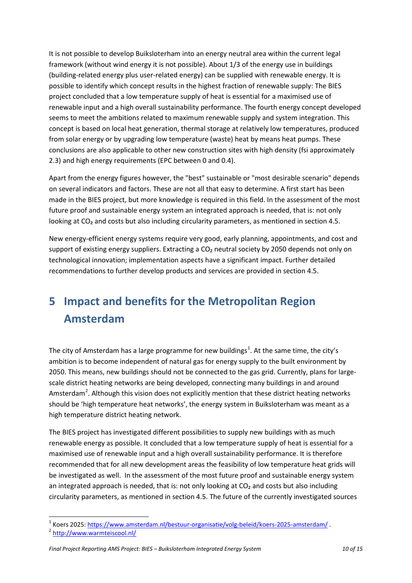It is not possible to develop Buiksloterham into an energy neutral area within the current legal framework (without wind energy it is not possible). About 1/3 of the energy use in buildings (building-related energy plus user-related energy) can be supplied with renewable energy. It is possible to identify which concept results in the highest fraction of renewable supply: The BIES project concluded that a low temperature supply of heat is essential for a maximised use of renewable input and a high overall sustainability performance. The fourth energy concept developed seems to meet the ambitions related to maximum renewable supply and system integration. This concept is based on local heat generation, thermal storage at relatively low temperatures, produced from solar energy or by upgrading low temperature (waste) heat by means heat pumps. These conclusions are also applicable to other new construction sites with high density (fsi approximately 2.3) and high energy requirements (EPC between 0 and 0.4).

Apart from the energy figures however, the "best" sustainable or "most desirable scenario" depends on several indicators and factors. These are not all that easy to determine. A first start has been made in the BIES project, but more knowledge is required in this field. In the assessment of the most future proof and sustainable energy system an integrated approach is needed, that is: not only looking at CO<sub>2</sub> and costs but also including circularity parameters, as mentioned in section 4.5.

New energy-efficient energy systems require very good, early planning, appointments, and cost and support of existing energy suppliers. Extracting a  $CO<sub>2</sub>$  neutral society by 2050 depends not only on technological innovation; implementation aspects have a significant impact. Further detailed recommendations to further develop products and services are provided in section 4.5.

# <span id="page-9-0"></span>**5 Impact and benefits for the Metropolitan Region Amsterdam**

The city of Amsterdam has a large programme for new buildings<sup>[1](#page-9-1)</sup>. At the same time, the city's ambition is to become independent of natural gas for energy supply to the built environment by 2050. This means, new buildings should not be connected to the gas grid. Currently, plans for largescale district heating networks are being developed, connecting many buildings in and around Amsterdam<sup>[2](#page-9-2)</sup>. Although this vision does not explicitly mention that these district heating networks should be 'high temperature heat networks', the energy system in Buiksloterham was meant as a high temperature district heating network.

The BIES project has investigated different possibilities to supply new buildings with as much renewable energy as possible. It concluded that a low temperature supply of heat is essential for a maximised use of renewable input and a high overall sustainability performance. It is therefore recommended that for all new development areas the feasibility of low temperature heat grids will be investigated as well. In the assessment of the most future proof and sustainable energy system an integrated approach is needed, that is: not only looking at CO2 and costs but also including circularity parameters, as mentioned in section 4.5. The future of the currently investigated sources

<sup>&</sup>lt;sup>1</sup> Koers 2025[: https://www.amsterdam.nl/bestuur-organisatie/volg-beleid/koers-2025-amsterdam/](https://www.amsterdam.nl/bestuur-organisatie/volg-beleid/koers-2025-amsterdam/).<br><sup>2</sup> <http://www.warmteiscool.nl/>  $\overline{a}$ 

<span id="page-9-2"></span><span id="page-9-1"></span>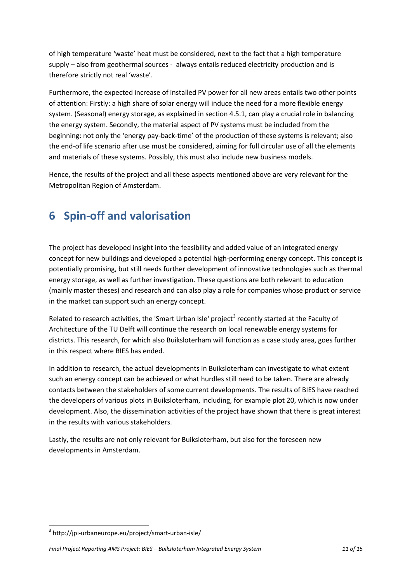of high temperature 'waste' heat must be considered, next to the fact that a high temperature supply – also from geothermal sources - always entails reduced electricity production and is therefore strictly not real 'waste'.

Furthermore, the expected increase of installed PV power for all new areas entails two other points of attention: Firstly: a high share of solar energy will induce the need for a more flexible energy system. (Seasonal) energy storage, as explained in section 4.5.1, can play a crucial role in balancing the energy system. Secondly, the material aspect of PV systems must be included from the beginning: not only the 'energy pay-back-time' of the production of these systems is relevant; also the end-of life scenario after use must be considered, aiming for full circular use of all the elements and materials of these systems. Possibly, this must also include new business models.

Hence, the results of the project and all these aspects mentioned above are very relevant for the Metropolitan Region of Amsterdam.

# <span id="page-10-0"></span>**6 Spin-off and valorisation**

The project has developed insight into the feasibility and added value of an integrated energy concept for new buildings and developed a potential high-performing energy concept. This concept is potentially promising, but still needs further development of innovative technologies such as thermal energy storage, as well as further investigation. These questions are both relevant to education (mainly master theses) and research and can also play a role for companies whose product or service in the market can support such an energy concept.

Related to research activities, the 'Smart Urban Isle' project<sup>[3](#page-10-1)</sup> recently started at the Faculty of Architecture of the TU Delft will continue the research on local renewable energy systems for districts. This research, for which also Buiksloterham will function as a case study area, goes further in this respect where BIES has ended.

In addition to research, the actual developments in Buiksloterham can investigate to what extent such an energy concept can be achieved or what hurdles still need to be taken. There are already contacts between the stakeholders of some current developments. The results of BIES have reached the developers of various plots in Buiksloterham, including, for example plot 20, which is now under development. Also, the dissemination activities of the project have shown that there is great interest in the results with various stakeholders.

Lastly, the results are not only relevant for Buiksloterham, but also for the foreseen new developments in Amsterdam.

 $\overline{a}$ 

<span id="page-10-1"></span><sup>3</sup> http://jpi-urbaneurope.eu/project/smart-urban-isle/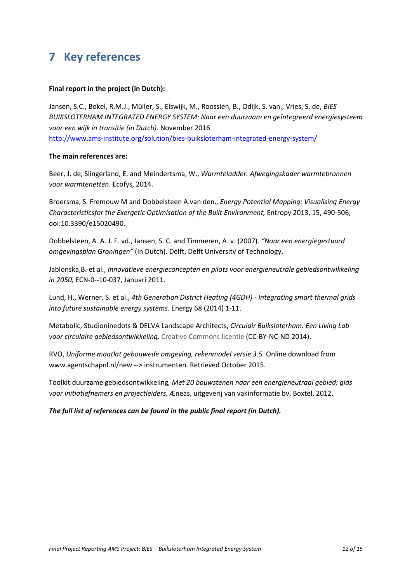# <span id="page-11-0"></span>**7 Key references**

#### **Final report in the project (in Dutch):**

Jansen, S.C., Bokel, R.M.J., Müller, S., Elswijk, M., Roossien, B., Odijk, S. van., Vries, S. de, *BIES BUIKSLOTERHAM INTEGRATED ENERGY SYSTEM: Naar een duurzaam en geïntegreerd energiesysteem voor een wijk in transitie (in Dutch).* November 2016 <http://www.ams-institute.org/solution/bies-buiksloterham-integrated-energy-system/>

#### **The main references are:**

Beer, J. de, Slingerland, E. and Meindertsma, W., *Warmteladder. Afwegingskader warmtebronnen voor warmtenetten*. Ecofys, 2014.

Broersma, S. Fremouw M and Dobbelsteen A.van den., *Energy Potential Mapping: Visualising Energy Characteristicsfor the Exergetic Optimisation of the Built Environment,* Entropy 2013, 15, 490-506; doi:10.3390/e15020490.

Dobbelsteen, A. A. J. F. vd., Jansen, S. C. and Timmeren, A. v. (2007). *"Naar een energiegestuurd omgevingsplan Groningen"* (In Dutch). Delft, Delft University of Technology.

Jablonska,B. et al., *Innovatieve energieconcepten en pilots voor energieneutrale gebiedsontwikkeling in 2050,* ECN-0--10-037, Januari 2011.

Lund, H., Werner, S. et al., *4th Generation District Heating (4GDH) - Integrating smart thermal grids into future sustainable energy systems*. Energy 68 (2014) 1-11.

Metabolic, Studioninedots & DELVA Landscape Architects, *Circulair Buiksloterham. Een Living Lab voor circulaire gebiedsontwikkeling,* Creative Commons licentie (CC-BY-NC-ND 2014).

RVO, *Uniforme maatlat gebouwede omgeving, rekenmodel versie 3.5.* Online download from www.agentschapnl.nl/new --> instrumenten. Retrieved October 2015.

Toolkit duurzame gebiedsontwikkeling*, Met 20 bouwstenen naar een energieneutraal gebied; gids voor initiatiefnemers en projectleiders,* Æneas, uitgeverij van vakinformatie bv, Boxtel, 2012.

#### *The full list of references can be found in the public final report (in Dutch).*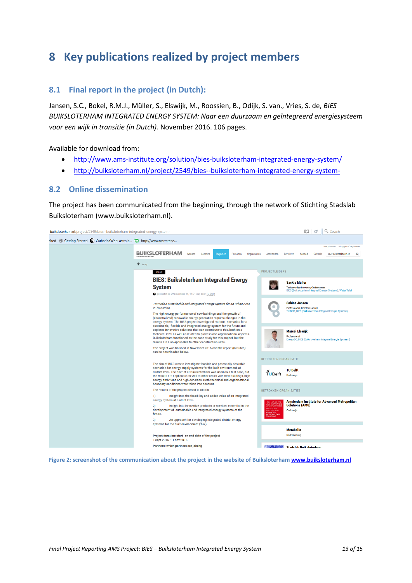# <span id="page-12-0"></span>**8 Key publications realized by project members**

### **8.1 Final report in the project (in Dutch):**

Jansen, S.C., Bokel, R.M.J., Müller, S., Elswijk, M., Roossien, B., Odijk, S. van., Vries, S. de, *BIES BUIKSLOTERHAM INTEGRATED ENERGY SYSTEM: Naar een duurzaam en geïntegreerd energiesysteem voor een wijk in transitie (in Dutch).* November 2016. 106 pages.

Available for download from:

- <http://www.ams-institute.org/solution/bies-buiksloterham-integrated-energy-system/>
- <http://buiksloterham.nl/project/2549/bies--buiksloterham-integrated-energy-system->

#### **8.2 Online dissemination**

The project has been communicated from the beginning, through the network of Stichting Stadslab Buiksloterham (www.buiksloterham.nl).

| buiksloterham.nl/project/2549/bies--buiksloterham-integrated-energy-system- |                                                                                                                                                                                                                                                                                                                                                                                                                                                                                                                                                                                                                                                                                    | Q Search                                                                                                             |  |  |  |
|-----------------------------------------------------------------------------|------------------------------------------------------------------------------------------------------------------------------------------------------------------------------------------------------------------------------------------------------------------------------------------------------------------------------------------------------------------------------------------------------------------------------------------------------------------------------------------------------------------------------------------------------------------------------------------------------------------------------------------------------------------------------------|----------------------------------------------------------------------------------------------------------------------|--|--|--|
| sited © Getting Started C CatharinaWeb: astrolo C http://www.warmtene       |                                                                                                                                                                                                                                                                                                                                                                                                                                                                                                                                                                                                                                                                                    |                                                                                                                      |  |  |  |
|                                                                             | <b>BUIKSLOTERHAM</b><br>Wensen<br>Projecten<br>Locaties<br>Personen<br>Organisaties                                                                                                                                                                                                                                                                                                                                                                                                                                                                                                                                                                                                | lets plaatsen Inloggen of registreren<br>Activiteiten<br>Berichten<br>Aanbod<br>Gezocht<br>voer een zoekterm in<br>Q |  |  |  |
|                                                                             | $\leftarrow$ terug                                                                                                                                                                                                                                                                                                                                                                                                                                                                                                                                                                                                                                                                 |                                                                                                                      |  |  |  |
|                                                                             | project<br><b>BIES: Buiksloterham Integrated Energy</b>                                                                                                                                                                                                                                                                                                                                                                                                                                                                                                                                                                                                                            | <b>PROJECTLEIDERS</b><br>Saskia Müller                                                                               |  |  |  |
|                                                                             | <b>System</b><br>geplaatst op 29 november 16, 11:01 uur, door TU Delft                                                                                                                                                                                                                                                                                                                                                                                                                                                                                                                                                                                                             | Toekomstige bewoner, Ondernemer<br>BIES (Buiksloterham Integraal Energie Systeem), Water Tafel                       |  |  |  |
|                                                                             | Towards a Sustainable and Integrated Energy System for an Urban Area<br>in Transition.                                                                                                                                                                                                                                                                                                                                                                                                                                                                                                                                                                                             | <b>Sabine Jansen</b><br>Professional, Geïnteresseerd<br>TU Delft, BIES (Buiksloterham Integraal Energie Systeem)     |  |  |  |
|                                                                             | The high energy performance of new buildings and the growth of<br>(decentralized) renewable energy generation requires changes in the<br>energy system. The BIES project investigated various scenarios for a<br>sustainable, flexible and integrated energy system for the future and<br>explored innovative solutions that can contribute to this, both on a<br>technical level as well as related to process and organisational aspects.<br>Buiksloterham functioned as the case study for this project, but the<br>results are also applicable to other construction sites.<br>The project was finished in November 2016 and the report (in Dutch)<br>can be downloaded below. |                                                                                                                      |  |  |  |
|                                                                             |                                                                                                                                                                                                                                                                                                                                                                                                                                                                                                                                                                                                                                                                                    | <b>Marcel Elswijk</b><br>Professional<br>EnergyGO, BIES (Buiksloterham Integraal Energie Systeem)                    |  |  |  |
|                                                                             |                                                                                                                                                                                                                                                                                                                                                                                                                                                                                                                                                                                                                                                                                    |                                                                                                                      |  |  |  |
|                                                                             | The aim of BIES was to investigate feasible and potentially desirable                                                                                                                                                                                                                                                                                                                                                                                                                                                                                                                                                                                                              | <b>BETROKKEN ORGANISATIE</b>                                                                                         |  |  |  |
|                                                                             | scenario's for energy supply systems for the built environment, at<br>district level. The district of Buiksloterham was used as a test case, but<br>the results are applicable as well to other area's with new buildings, high<br>energy ambitions and high densities. Both technical and organisational<br>boundary conditions were taken into account.                                                                                                                                                                                                                                                                                                                          | <b>TU Delft</b><br>$\tilde{\mathbf{T}}$ UDelft<br>Onderwijs                                                          |  |  |  |
|                                                                             | The results of the project aimed to obtain:                                                                                                                                                                                                                                                                                                                                                                                                                                                                                                                                                                                                                                        | <b>BETROKKEN ORGANISATIES</b>                                                                                        |  |  |  |
|                                                                             | Insight into the feasibility and added value of an integrated<br>1)<br>energy system at district level.                                                                                                                                                                                                                                                                                                                                                                                                                                                                                                                                                                            | Amsterdam Institute for Advanced Metropolitan                                                                        |  |  |  |
|                                                                             | Insight into innovative products or services essential to the<br>2)<br>development of sustainable and integrated energy systems of the<br>future.                                                                                                                                                                                                                                                                                                                                                                                                                                                                                                                                  | <b>Solutions (AMS)</b><br>Onderwijs<br><b>WANCED</b><br><b><i>METROPOLITAN</i></b><br><b>COLLITIONS</b>              |  |  |  |
|                                                                             | An approach for developing integrated district energy<br>3)<br>systems for the built environment ('bis').                                                                                                                                                                                                                                                                                                                                                                                                                                                                                                                                                                          |                                                                                                                      |  |  |  |
|                                                                             | Project duration: start- en end date of the project<br>1 sept 2015 - 1 nov 2016                                                                                                                                                                                                                                                                                                                                                                                                                                                                                                                                                                                                    | <b>Metabolic</b><br>Onderneming                                                                                      |  |  |  |
|                                                                             | <b>Partners: which partners are joining</b>                                                                                                                                                                                                                                                                                                                                                                                                                                                                                                                                                                                                                                        | <b>MARK STATE Stadslab Rujksloterham</b>                                                                             |  |  |  |

**Figure 2: screenshot of the communication about the project in the website of Buiksloterha[m www.buiksloterham.nl](http://www.buiksloterham.nl/)**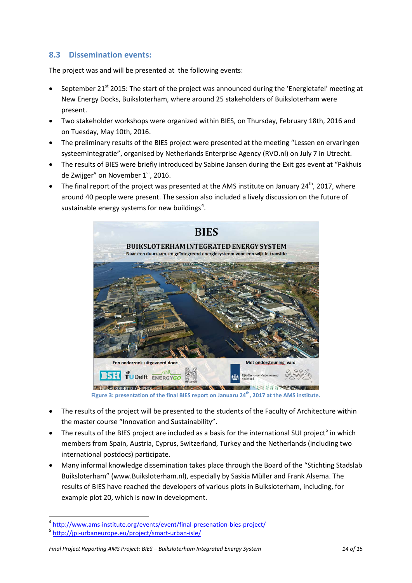### **8.3 Dissemination events:**

The project was and will be presented at the following events:

- September 21 $^{\rm st}$  2015: The start of the project was announced during the 'Energietafel' meeting at New Energy Docks, Buiksloterham, where around 25 stakeholders of Buiksloterham were present.
- Two stakeholder workshops were organized within BIES, on Thursday, February 18th, 2016 and on Tuesday, May 10th, 2016.
- The preliminary results of the BIES project were presented at the meeting "Lessen en ervaringen systeemintegratie", organised by Netherlands Enterprise Agency (RVO.nl) on July 7 in Utrecht.
- The results of BIES were briefly introduced by Sabine Jansen during the Exit gas event at "Pakhuis de Zwijger" on November  $1<sup>st</sup>$ , 2016.
- The final report of the project was presented at the AMS institute on January  $24^{th}$ , 2017, where around 40 people were present. The session also included a lively discussion on the future of sustainable energy systems for new buildings<sup>[4](#page-13-0)</sup>.



Figure 3: presentation of the final BIES report on Januaru 24<sup>th</sup>, 2017 at the AMS institute.

- The results of the project will be presented to the students of the Faculty of Architecture within the master course "Innovation and Sustainability".
- The results of the BIES project are included as a basis for the international SUI project<sup>[5](#page-13-1)</sup> in which members from Spain, Austria, Cyprus, Switzerland, Turkey and the Netherlands (including two international postdocs) participate.
- Many informal knowledge dissemination takes place through the Board of the "Stichting Stadslab Buiksloterham" (www.Buiksloterham.nl), especially by Saskia Müller and Frank Alsema. The results of BIES have reached the developers of various plots in Buiksloterham, including, for example plot 20, which is now in development.

 $\overline{a}$ 

<span id="page-13-0"></span><sup>&</sup>lt;sup>4</sup> <http://www.ams-institute.org/events/event/final-presenation-bies-project/><br><sup>5</sup> <http://jpi-urbaneurope.eu/project/smart-urban-isle/>

<span id="page-13-1"></span>